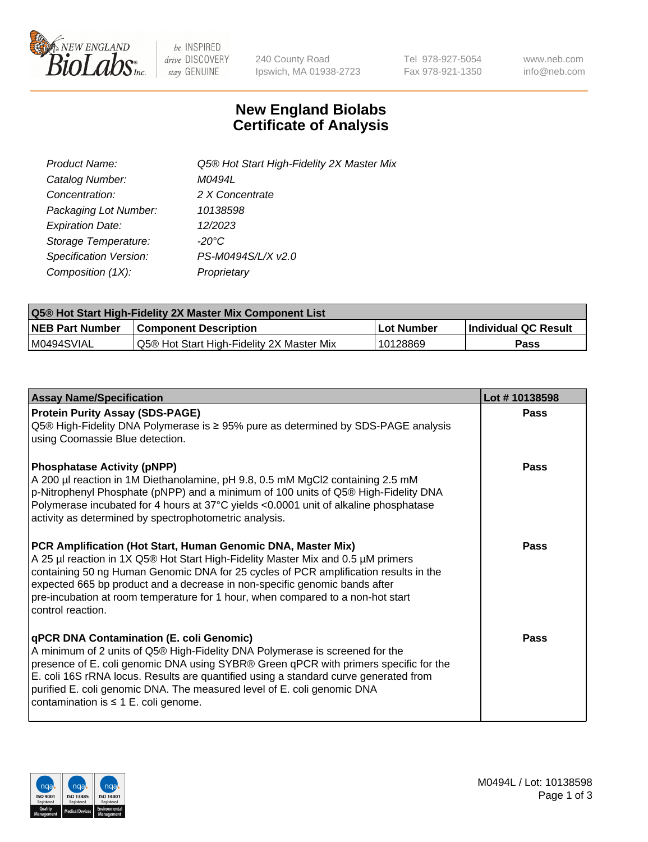

be INSPIRED drive DISCOVERY stay GENUINE

240 County Road Ipswich, MA 01938-2723 Tel 978-927-5054 Fax 978-921-1350 www.neb.com info@neb.com

## **New England Biolabs Certificate of Analysis**

| Product Name:                 | Q5® Hot Start High-Fidelity 2X Master Mix |
|-------------------------------|-------------------------------------------|
| Catalog Number:               | M0494L                                    |
| Concentration:                | 2 X Concentrate                           |
| Packaging Lot Number:         | 10138598                                  |
| <b>Expiration Date:</b>       | 12/2023                                   |
| Storage Temperature:          | -20°C                                     |
| <b>Specification Version:</b> | PS-M0494S/L/X v2.0                        |
| Composition (1X):             | Proprietary                               |

| <b>Q5® Hot Start High-Fidelity 2X Master Mix Component List</b> |                                           |            |                      |  |  |
|-----------------------------------------------------------------|-------------------------------------------|------------|----------------------|--|--|
| <b>NEB Part Number</b>                                          | <b>Component Description</b>              | Lot Number | Individual QC Result |  |  |
| M0494SVIAL                                                      | Q5® Hot Start High-Fidelity 2X Master Mix | 10128869   | Pass                 |  |  |

| <b>Assay Name/Specification</b>                                                                                                                                                                                                                                                                                                                                                                                                  | Lot #10138598 |
|----------------------------------------------------------------------------------------------------------------------------------------------------------------------------------------------------------------------------------------------------------------------------------------------------------------------------------------------------------------------------------------------------------------------------------|---------------|
| <b>Protein Purity Assay (SDS-PAGE)</b><br>Q5® High-Fidelity DNA Polymerase is ≥ 95% pure as determined by SDS-PAGE analysis<br>using Coomassie Blue detection.                                                                                                                                                                                                                                                                   | Pass          |
| <b>Phosphatase Activity (pNPP)</b><br>A 200 µl reaction in 1M Diethanolamine, pH 9.8, 0.5 mM MgCl2 containing 2.5 mM<br>p-Nitrophenyl Phosphate (pNPP) and a minimum of 100 units of Q5® High-Fidelity DNA<br>Polymerase incubated for 4 hours at 37°C yields <0.0001 unit of alkaline phosphatase<br>activity as determined by spectrophotometric analysis.                                                                     | Pass          |
| PCR Amplification (Hot Start, Human Genomic DNA, Master Mix)<br>A 25 µl reaction in 1X Q5® Hot Start High-Fidelity Master Mix and 0.5 µM primers<br>containing 50 ng Human Genomic DNA for 25 cycles of PCR amplification results in the<br>expected 665 bp product and a decrease in non-specific genomic bands after<br>pre-incubation at room temperature for 1 hour, when compared to a non-hot start<br>control reaction.   | Pass          |
| qPCR DNA Contamination (E. coli Genomic)<br>A minimum of 2 units of Q5® High-Fidelity DNA Polymerase is screened for the<br>presence of E. coli genomic DNA using SYBR® Green qPCR with primers specific for the<br>E. coli 16S rRNA locus. Results are quantified using a standard curve generated from<br>purified E. coli genomic DNA. The measured level of E. coli genomic DNA<br>contamination is $\leq 1$ E. coli genome. | Pass          |

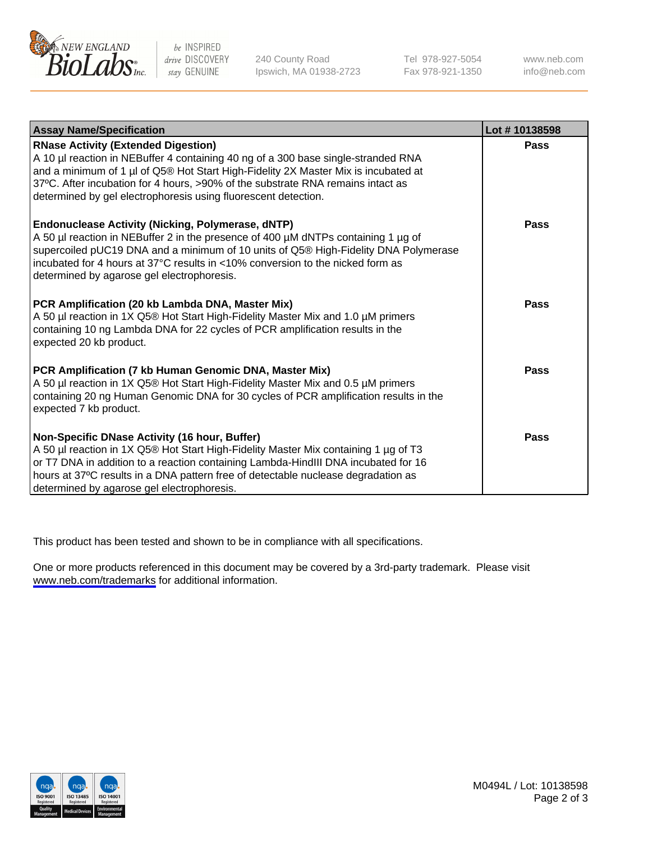

be INSPIRED drive DISCOVERY stay GENUINE

240 County Road Ipswich, MA 01938-2723 Tel 978-927-5054 Fax 978-921-1350

www.neb.com info@neb.com

| <b>Assay Name/Specification</b>                                                                                                                                                                                                                                                                                                                                            | Lot #10138598 |
|----------------------------------------------------------------------------------------------------------------------------------------------------------------------------------------------------------------------------------------------------------------------------------------------------------------------------------------------------------------------------|---------------|
| <b>RNase Activity (Extended Digestion)</b><br>A 10 µl reaction in NEBuffer 4 containing 40 ng of a 300 base single-stranded RNA<br>and a minimum of 1 µl of Q5® Hot Start High-Fidelity 2X Master Mix is incubated at<br>37°C. After incubation for 4 hours, >90% of the substrate RNA remains intact as<br>determined by gel electrophoresis using fluorescent detection. | Pass          |
| <b>Endonuclease Activity (Nicking, Polymerase, dNTP)</b><br>A 50 µl reaction in NEBuffer 2 in the presence of 400 µM dNTPs containing 1 µg of<br>supercoiled pUC19 DNA and a minimum of 10 units of Q5® High-Fidelity DNA Polymerase<br>incubated for 4 hours at 37°C results in <10% conversion to the nicked form as<br>determined by agarose gel electrophoresis.       | Pass          |
| PCR Amplification (20 kb Lambda DNA, Master Mix)<br>A 50 µl reaction in 1X Q5® Hot Start High-Fidelity Master Mix and 1.0 µM primers<br>containing 10 ng Lambda DNA for 22 cycles of PCR amplification results in the<br>expected 20 kb product.                                                                                                                           | Pass          |
| PCR Amplification (7 kb Human Genomic DNA, Master Mix)<br>A 50 µl reaction in 1X Q5® Hot Start High-Fidelity Master Mix and 0.5 µM primers<br>containing 20 ng Human Genomic DNA for 30 cycles of PCR amplification results in the<br>expected 7 kb product.                                                                                                               | Pass          |
| Non-Specific DNase Activity (16 hour, Buffer)<br>A 50 µl reaction in 1X Q5® Hot Start High-Fidelity Master Mix containing 1 µg of T3<br>or T7 DNA in addition to a reaction containing Lambda-HindIII DNA incubated for 16<br>hours at 37°C results in a DNA pattern free of detectable nuclease degradation as<br>determined by agarose gel electrophoresis.              | Pass          |

This product has been tested and shown to be in compliance with all specifications.

One or more products referenced in this document may be covered by a 3rd-party trademark. Please visit <www.neb.com/trademarks>for additional information.